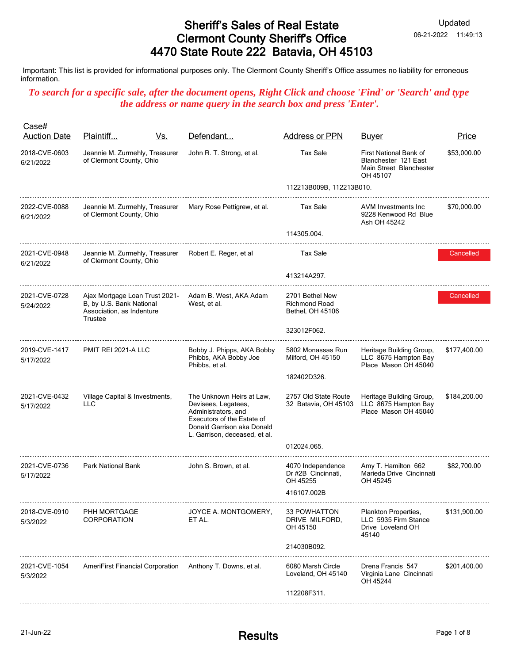## Sheriff's Sales of Real Estate Clermont County Sheriff's Office 4470 State Route 222 Batavia, OH 45103

 Important: This list is provided for informational purposes only. The Clermont County Sheriff's Office assumes no liability for erroneous information.

## *To search for a specific sale, after the document opens, Right Click and choose 'Find' or 'Search' and type the address or name query in the search box and press 'Enter'.*

| Case#<br><b>Auction Date</b> | Plaintiff                                                                                          | <u>Vs.</u> | Defendant                                                                                                                                                            | Address or PPN                                       | <b>Buyer</b>                                                                          | Price        |
|------------------------------|----------------------------------------------------------------------------------------------------|------------|----------------------------------------------------------------------------------------------------------------------------------------------------------------------|------------------------------------------------------|---------------------------------------------------------------------------------------|--------------|
| 2018-CVE-0603<br>6/21/2022   | Jeannie M. Zurmehly, Treasurer<br>of Clermont County, Ohio                                         |            | John R. T. Strong, et al.                                                                                                                                            | <b>Tax Sale</b>                                      | First National Bank of<br>Blanchester 121 East<br>Main Street Blanchester<br>OH 45107 | \$53,000.00  |
|                              |                                                                                                    |            |                                                                                                                                                                      | 112213B009B, 112213B010.                             |                                                                                       |              |
| 2022-CVE-0088<br>6/21/2022   | Jeannie M. Zurmehly, Treasurer<br>of Clermont County, Ohio                                         |            | Mary Rose Pettigrew, et al.                                                                                                                                          | <b>Tax Sale</b>                                      | AVM Investments Inc.<br>9228 Kenwood Rd Blue<br>Ash OH 45242                          | \$70,000.00  |
|                              |                                                                                                    |            |                                                                                                                                                                      | 114305.004.                                          |                                                                                       |              |
| 2021-CVE-0948<br>6/21/2022   | Jeannie M. Zurmehly, Treasurer<br>of Clermont County, Ohio                                         |            | Robert E. Reger, et al                                                                                                                                               | Tax Sale                                             |                                                                                       | Cancelled    |
|                              |                                                                                                    |            |                                                                                                                                                                      | 413214A297.                                          |                                                                                       |              |
| 2021-CVE-0728<br>5/24/2022   | Ajax Mortgage Loan Trust 2021-<br>B, by U.S. Bank National<br>Association, as Indenture<br>Trustee |            | Adam B. West, AKA Adam<br>West, et al.                                                                                                                               | 2701 Bethel New<br>Richmond Road<br>Bethel, OH 45106 |                                                                                       | Cancelled    |
|                              |                                                                                                    |            |                                                                                                                                                                      | 323012F062.                                          |                                                                                       |              |
| 2019-CVE-1417<br>5/17/2022   | PMIT REI 2021-A LLC                                                                                |            | Bobby J. Phipps, AKA Bobby<br>Phibbs, AKA Bobby Joe<br>Phibbs, et al.                                                                                                | 5802 Monassas Run<br>Milford, OH 45150               | Heritage Building Group,<br>LLC 8675 Hampton Bay<br>Place Mason OH 45040              | \$177,400.00 |
|                              |                                                                                                    |            |                                                                                                                                                                      | 182402D326.                                          |                                                                                       |              |
| 2021-CVE-0432<br>5/17/2022   | Village Capital & Investments,<br>LLC                                                              |            | The Unknown Heirs at Law,<br>Devisees, Legatees,<br>Administrators, and<br>Executors of the Estate of<br>Donald Garrison aka Donald<br>L. Garrison, deceased, et al. | 2757 Old State Route<br>32 Batavia, OH 45103         | Heritage Building Group,<br>LLC 8675 Hampton Bay<br>Place Mason OH 45040              | \$184,200.00 |
|                              |                                                                                                    |            |                                                                                                                                                                      | 012024.065.                                          |                                                                                       |              |
| 2021-CVE-0736<br>5/17/2022   | <b>Park National Bank</b>                                                                          |            | John S. Brown, et al.                                                                                                                                                | 4070 Independence<br>Dr #2B Cincinnati,<br>OH 45255  | Amy T. Hamilton 662<br>Marieda Drive Cincinnati<br>OH 45245                           | \$82,700.00  |
|                              |                                                                                                    |            |                                                                                                                                                                      | 416107.002B                                          |                                                                                       |              |
| 2018-CVE-0910<br>5/3/2022    | PHH MORTGAGE<br><b>CORPORATION</b>                                                                 |            | JOYCE A. MONTGOMERY,<br>ET AL.                                                                                                                                       | 33 POWHATTON<br>DRIVE MILFORD,<br>OH 45150           | Plankton Properties,<br>LLC 5935 Firm Stance<br>Drive Loveland OH<br>45140            | \$131,900.00 |
|                              |                                                                                                    |            |                                                                                                                                                                      | 214030B092.                                          |                                                                                       |              |
| 2021-CVE-1054<br>5/3/2022    |                                                                                                    |            | AmeriFirst Financial Corporation Anthony T. Downs, et al.                                                                                                            | 6080 Marsh Circle<br>Loveland, OH 45140              | Drena Francis 547<br>Virginia Lane Cincinnati<br>OH 45244                             | \$201,400.00 |
|                              |                                                                                                    |            |                                                                                                                                                                      | 112208F311.                                          |                                                                                       |              |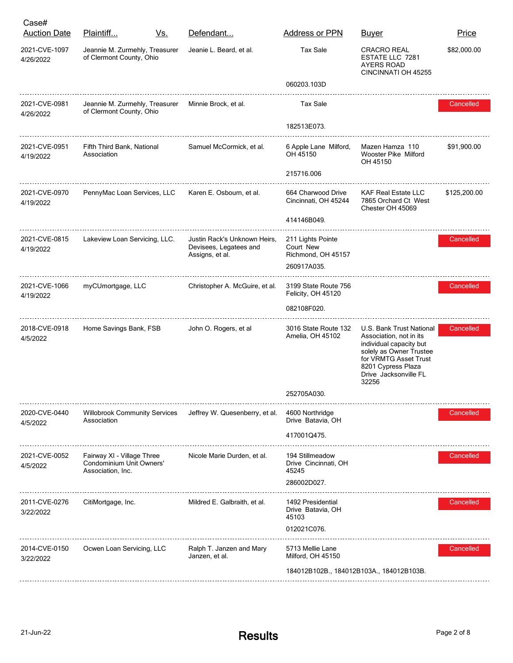| Case#<br><b>Auction Date</b> | Plaintiff<br><u>Vs.</u>                                                     | Defendant                                                                 | <b>Address or PPN</b>                                | <b>Buyer</b>                                                                                                                                                                               | <b>Price</b> |
|------------------------------|-----------------------------------------------------------------------------|---------------------------------------------------------------------------|------------------------------------------------------|--------------------------------------------------------------------------------------------------------------------------------------------------------------------------------------------|--------------|
| 2021-CVE-1097<br>4/26/2022   | Jeannie M. Zurmehly, Treasurer<br>of Clermont County, Ohio                  | Jeanie L. Beard, et al.                                                   | <b>Tax Sale</b>                                      | <b>CRACRO REAL</b><br>ESTATE LLC 7281<br><b>AYERS ROAD</b><br>CINCINNATI OH 45255                                                                                                          | \$82,000.00  |
|                              |                                                                             |                                                                           | 060203.103D                                          |                                                                                                                                                                                            |              |
| 2021-CVE-0981<br>4/26/2022   | Jeannie M. Zurmehly, Treasurer<br>of Clermont County, Ohio                  | Minnie Brock, et al.                                                      | <b>Tax Sale</b>                                      |                                                                                                                                                                                            | Cancelled    |
|                              |                                                                             |                                                                           | 182513E073.                                          |                                                                                                                                                                                            |              |
| 2021-CVE-0951<br>4/19/2022   | Fifth Third Bank, National<br>Association                                   | Samuel McCormick, et al.                                                  | 6 Apple Lane Milford,<br>OH 45150                    | Mazen Hamza 110<br>Wooster Pike Milford<br>OH 45150                                                                                                                                        | \$91,900.00  |
|                              |                                                                             |                                                                           | 215716.006                                           |                                                                                                                                                                                            |              |
| 2021-CVE-0970<br>4/19/2022   | PennyMac Loan Services, LLC                                                 | Karen E. Osbourn, et al.                                                  | 664 Charwood Drive<br>Cincinnati, OH 45244           | <b>KAF Real Estate LLC</b><br>7865 Orchard Ct West<br>Chester OH 45069                                                                                                                     | \$125,200.00 |
|                              |                                                                             |                                                                           | 414146B049.                                          |                                                                                                                                                                                            |              |
| 2021-CVE-0815<br>4/19/2022   | Lakeview Loan Servicing, LLC.                                               | Justin Rack's Unknown Heirs,<br>Devisees, Legatees and<br>Assigns, et al. | 211 Lights Pointe<br>Court New<br>Richmond, OH 45157 |                                                                                                                                                                                            | Cancelled    |
|                              |                                                                             |                                                                           | 260917A035.                                          |                                                                                                                                                                                            |              |
| 2021-CVE-1066<br>4/19/2022   | myCUmortgage, LLC                                                           | Christopher A. McGuire, et al.                                            | 3199 State Route 756<br>Felicity, OH 45120           |                                                                                                                                                                                            | Cancelled    |
|                              |                                                                             |                                                                           | 082108F020.                                          |                                                                                                                                                                                            |              |
| 2018-CVE-0918<br>4/5/2022    | Home Savings Bank, FSB                                                      | John O. Rogers, et al                                                     | 3016 State Route 132<br>Amelia, OH 45102             | U.S. Bank Trust National<br>Association, not in its<br>individual capacity but<br>solely as Owner Trustee<br>for VRMTG Asset Trust<br>8201 Cypress Plaza<br>Drive Jacksonville FL<br>32256 | Cancelled    |
|                              |                                                                             |                                                                           | 252705A030.                                          |                                                                                                                                                                                            |              |
| 2020-CVE-0440<br>4/5/2022    | <b>Willobrook Community Services</b><br>Association                         | Jeffrey W. Quesenberry, et al.                                            | 4600 Northridge<br>Drive Batavia, OH                 |                                                                                                                                                                                            | Cancelled    |
|                              |                                                                             |                                                                           | 417001Q475.                                          |                                                                                                                                                                                            |              |
| 2021-CVE-0052<br>4/5/2022    | Fairway XI - Village Three<br>Condominium Unit Owners'<br>Association, Inc. | Nicole Marie Durden, et al.                                               | 194 Stillmeadow<br>Drive Cincinnati, OH<br>45245     |                                                                                                                                                                                            | Cancelled    |
|                              |                                                                             |                                                                           | 286002D027.                                          |                                                                                                                                                                                            |              |
| 2011-CVE-0276<br>3/22/2022   | CitiMortgage, Inc.                                                          | Mildred E. Galbraith, et al.                                              | 1492 Presidential<br>Drive Batavia, OH<br>45103      |                                                                                                                                                                                            | Cancelled    |
|                              |                                                                             |                                                                           | 012021C076.                                          |                                                                                                                                                                                            |              |
| 2014-CVE-0150<br>3/22/2022   | Ocwen Loan Servicing, LLC                                                   | Ralph T. Janzen and Mary<br>Janzen, et al.                                | 5713 Mellie Lane<br>Milford, OH 45150                |                                                                                                                                                                                            | Cancelled    |
|                              |                                                                             |                                                                           |                                                      | 184012B102B., 184012B103A., 184012B103B.                                                                                                                                                   |              |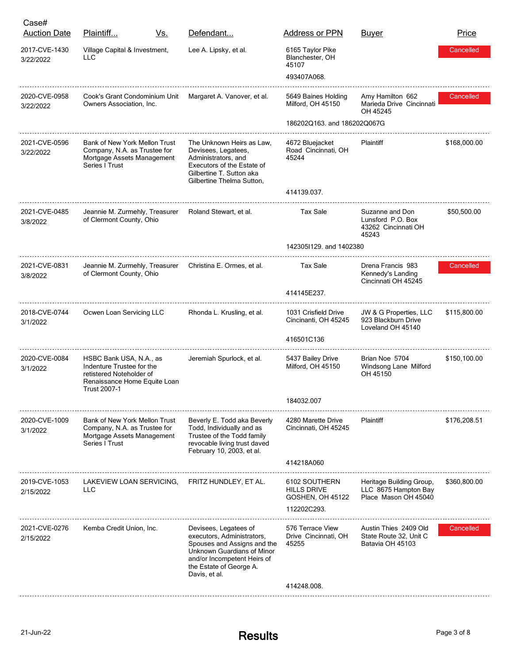| Case#<br><b>Auction Date</b> | Plaintiff                                                                                                                        | <u>Vs.</u> | Defendant                                                                                                                                                                                   | Address or PPN                                                         | <b>Buyer</b>                                                             | Price        |
|------------------------------|----------------------------------------------------------------------------------------------------------------------------------|------------|---------------------------------------------------------------------------------------------------------------------------------------------------------------------------------------------|------------------------------------------------------------------------|--------------------------------------------------------------------------|--------------|
| 2017-CVE-1430<br>3/22/2022   | Village Capital & Investment,<br>LLC                                                                                             |            | Lee A. Lipsky, et al.                                                                                                                                                                       | 6165 Taylor Pike<br>Blanchester, OH<br>45107                           |                                                                          | Cancelled    |
|                              |                                                                                                                                  |            |                                                                                                                                                                                             | 493407A068.                                                            |                                                                          |              |
| 2020-CVE-0958<br>3/22/2022   | Cook's Grant Condominium Unit<br>Owners Association, Inc.                                                                        |            | Margaret A. Vanover, et al.                                                                                                                                                                 | 5649 Baines Holding<br>Milford, OH 45150                               | Amy Hamilton 662<br>Marieda Drive Cincinnati<br>OH 45245                 | Cancelled    |
|                              |                                                                                                                                  |            |                                                                                                                                                                                             | 186202Q163, and 186202Q067G                                            |                                                                          |              |
| 2021-CVE-0596<br>3/22/2022   | <b>Bank of New York Mellon Trust</b><br>Company, N.A. as Trustee for<br>Mortgage Assets Management<br>Series I Trust             |            | The Unknown Heirs as Law,<br>Devisees, Legatees,<br>Administrators, and<br><b>Executors of the Estate of</b><br>Gilbertine T. Sutton aka<br>Gilbertine Thelma Sutton,                       | 4672 Bluejacket<br>Road Cincinnati, OH<br>45244                        | <b>Plaintiff</b>                                                         | \$168,000.00 |
|                              |                                                                                                                                  |            |                                                                                                                                                                                             | 414139.037.                                                            |                                                                          |              |
| 2021-CVE-0485<br>3/8/2022    | Jeannie M. Zurmehly, Treasurer<br>of Clermont County, Ohio                                                                       |            | Roland Stewart, et al.                                                                                                                                                                      | <b>Tax Sale</b>                                                        | Suzanne and Don<br>Lunsford P.O. Box<br>43262 Cincinnati OH<br>45243     | \$50,500.00  |
|                              |                                                                                                                                  |            |                                                                                                                                                                                             | 1423051129, and 1402380                                                |                                                                          |              |
| 2021-CVE-0831<br>3/8/2022    | Jeannie M. Zurmehly, Treasurer<br>of Clermont County, Ohio                                                                       |            | Christina E. Ormes, et al.                                                                                                                                                                  | <b>Tax Sale</b>                                                        | Drena Francis 983<br>Kennedy's Landing<br>Cincinnati OH 45245            | Cancelled    |
|                              |                                                                                                                                  |            |                                                                                                                                                                                             | 414145E237.                                                            |                                                                          |              |
| 2018-CVE-0744<br>3/1/2022    | Ocwen Loan Servicing LLC                                                                                                         |            | Rhonda L. Krusling, et al.                                                                                                                                                                  | 1031 Crisfield Drive<br>Cincinanti, OH 45245                           | JW & G Properties, LLC<br>923 Blackburn Drive<br>Loveland OH 45140       | \$115,800.00 |
|                              |                                                                                                                                  |            |                                                                                                                                                                                             | 416501C136                                                             |                                                                          |              |
| 2020-CVE-0084<br>3/1/2022    | HSBC Bank USA, N.A., as<br>Indenture Trustee for the<br>retistered Noteholder of<br>Renaissance Home Equite Loan<br>Trust 2007-1 |            | Jeremiah Spurlock, et al.                                                                                                                                                                   | 5437 Bailey Drive<br>Milford, OH 45150                                 | Brian Noe 5704<br>Windsong Lane Milford<br>OH 45150                      | \$150,100.00 |
|                              |                                                                                                                                  |            |                                                                                                                                                                                             | 184032.007                                                             |                                                                          |              |
| 2020-CVE-1009<br>3/1/2022    | Bank of New York Mellon Trust<br>Company, N.A. as Trustee for<br>Mortgage Assets Management<br>Series I Trust                    |            | Beverly E. Todd aka Beverly<br>Todd, Individually and as<br>Trustee of the Todd family<br>revocable living trust daved<br>February 10, 2003, et al.                                         | 4280 Marette Drive<br>Cincinnati, OH 45245                             | <b>Plaintiff</b>                                                         | \$176,208.51 |
|                              |                                                                                                                                  |            |                                                                                                                                                                                             | 414218A060                                                             |                                                                          |              |
| 2019-CVE-1053<br>2/15/2022   | LAKEVIEW LOAN SERVICING,<br><b>LLC</b>                                                                                           |            | FRITZ HUNDLEY, ET AL.                                                                                                                                                                       | 6102 SOUTHERN<br><b>HILLS DRIVE</b><br>GOSHEN, OH 45122<br>112202C293. | Heritage Building Group,<br>LLC 8675 Hampton Bay<br>Place Mason OH 45040 | \$360,800.00 |
| 2021-CVE-0276<br>2/15/2022   | Kemba Credit Union, Inc.                                                                                                         |            | Devisees, Legatees of<br>executors, Administrators,<br>Spouses and Assigns and the<br>Unknown Guardians of Minor<br>and/or Incompetent Heirs of<br>the Estate of George A.<br>Davis, et al. | 576 Terrace View<br>Drive Cincinnati, OH<br>45255                      | Austin Thies 2409 Old<br>State Route 32, Unit C<br>Batavia OH 45103      | Cancelled    |
|                              |                                                                                                                                  |            |                                                                                                                                                                                             | 414248.008.                                                            |                                                                          |              |
|                              |                                                                                                                                  |            |                                                                                                                                                                                             |                                                                        |                                                                          |              |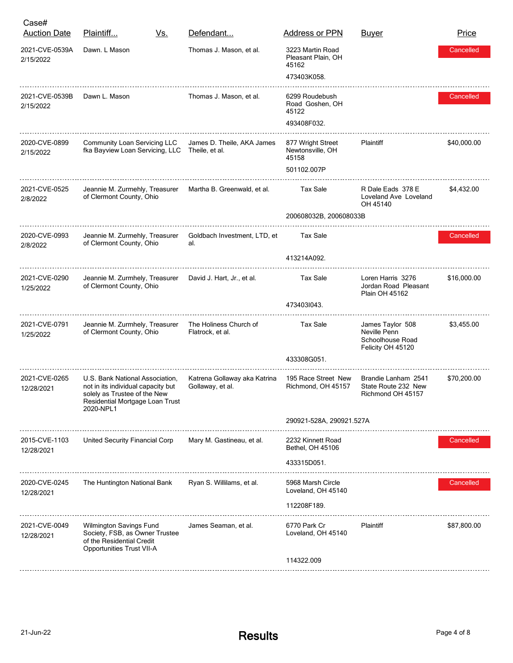| Case#<br><b>Auction Date</b> | Plaintiff                                                                                                                                             | <u>Vs.</u> | Defendant                                        | <b>Address or PPN</b>                           | <b>Buyer</b>                                                              | <b>Price</b> |
|------------------------------|-------------------------------------------------------------------------------------------------------------------------------------------------------|------------|--------------------------------------------------|-------------------------------------------------|---------------------------------------------------------------------------|--------------|
| 2021-CVE-0539A<br>2/15/2022  | Dawn. L Mason                                                                                                                                         |            | Thomas J. Mason, et al.                          | 3223 Martin Road<br>Pleasant Plain, OH<br>45162 |                                                                           | Cancelled    |
|                              |                                                                                                                                                       |            |                                                  | 473403K058.                                     |                                                                           |              |
| 2021-CVE-0539B<br>2/15/2022  | Dawn L. Mason                                                                                                                                         |            | Thomas J. Mason, et al.                          | 6299 Roudebush<br>Road Goshen, OH<br>45122      |                                                                           | Cancelled    |
|                              |                                                                                                                                                       |            |                                                  | 493408F032.                                     |                                                                           |              |
| 2020-CVE-0899<br>2/15/2022   | Community Loan Servicing LLC<br>fka Bayview Loan Servicing, LLC                                                                                       |            | James D. Theile, AKA James<br>Theile, et al.     | 877 Wright Street<br>Newtonsville, OH<br>45158  | Plaintiff                                                                 | \$40,000.00  |
|                              |                                                                                                                                                       |            |                                                  | 501102.007P                                     |                                                                           |              |
| 2021-CVE-0525<br>2/8/2022    | Jeannie M. Zurmehly, Treasurer<br>of Clermont County, Ohio                                                                                            |            | Martha B. Greenwald, et al.                      | Tax Sale                                        | R Dale Eads 378 E<br>Loveland Ave Loveland<br>OH 45140                    | \$4,432.00   |
|                              |                                                                                                                                                       |            |                                                  | 200608032B, 200608033B                          |                                                                           |              |
| 2020-CVE-0993<br>2/8/2022    | Jeannie M. Zurmehly, Treasurer<br>of Clermont County, Ohio                                                                                            |            | Goldbach Investment, LTD, et<br>al.              | Tax Sale                                        |                                                                           | Cancelled    |
|                              |                                                                                                                                                       |            |                                                  | 413214A092.                                     |                                                                           |              |
| 2021-CVE-0290<br>1/25/2022   | Jeannie M. Zurmhely, Treasurer<br>of Clermont County, Ohio                                                                                            |            | David J. Hart, Jr., et al.                       | Tax Sale                                        | Loren Harris 3276<br>Jordan Road Pleasant<br>Plain OH 45162               | \$16,000.00  |
|                              |                                                                                                                                                       |            |                                                  | 4734031043.                                     |                                                                           |              |
| 2021-CVE-0791<br>1/25/2022   | Jeannie M. Zurmhely, Treasurer<br>of Clermont County, Ohio                                                                                            |            | The Holiness Church of<br>Flatrock, et al.       | <b>Tax Sale</b>                                 | James Taylor 508<br>Neville Penn<br>Schoolhouse Road<br>Felicity OH 45120 | \$3,455.00   |
|                              |                                                                                                                                                       |            |                                                  | 433308G051.                                     |                                                                           |              |
| 2021-CVE-0265<br>12/28/2021  | U.S. Bank National Association,<br>not in its individual capacity but<br>solely as Trustee of the New<br>Residential Mortgage Loan Trust<br>2020-NPL1 |            | Katrena Gollaway aka Katrina<br>Gollaway, et al. | 195 Race Street New<br>Richmond, OH 45157       | Brandie Lanham 2541<br>State Route 232 New<br>Richmond OH 45157           | \$70,200.00  |
|                              |                                                                                                                                                       |            |                                                  | 290921-528A, 290921.527A                        |                                                                           |              |
| 2015-CVE-1103<br>12/28/2021  | United Security Financial Corp                                                                                                                        |            | Mary M. Gastineau, et al.                        | 2232 Kinnett Road<br>Bethel, OH 45106           |                                                                           | Cancelled    |
|                              |                                                                                                                                                       |            |                                                  | 433315D051.                                     |                                                                           |              |
| 2020-CVE-0245<br>12/28/2021  | The Huntington National Bank                                                                                                                          |            | Ryan S. Willilams, et al.                        | 5968 Marsh Circle<br>Loveland, OH 45140         |                                                                           | Cancelled    |
|                              |                                                                                                                                                       |            |                                                  | 112208F189.                                     |                                                                           |              |
| 2021-CVE-0049<br>12/28/2021  | Wilmington Savings Fund<br>Society, FSB, as Owner Trustee<br>of the Residential Credit                                                                |            | James Seaman, et al.                             | 6770 Park Cr<br>Loveland, OH 45140              | Plaintiff                                                                 | \$87,800.00  |
|                              | <b>Opportunities Trust VII-A</b>                                                                                                                      |            |                                                  | 114322.009                                      |                                                                           |              |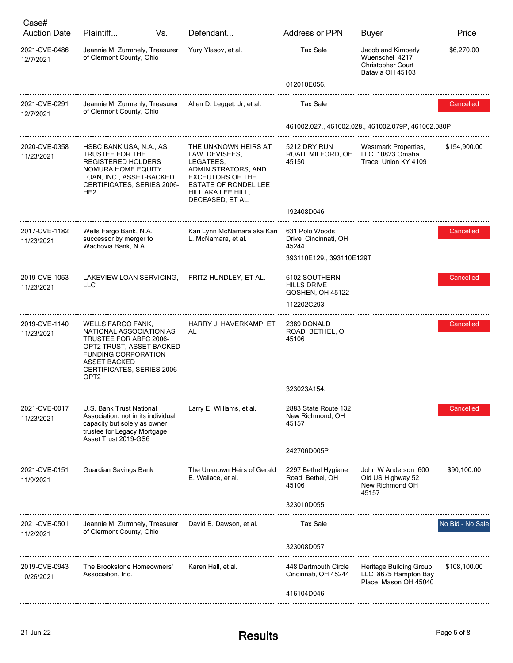| Case#<br><b>Auction Date</b> | Plaintiff                                                                                                                                                                                                 | <u>Vs.</u> | Defendant                                                                                                                                                                      | <b>Address or PPN</b>                             | <b>Buyer</b>                                                                  | <b>Price</b>     |
|------------------------------|-----------------------------------------------------------------------------------------------------------------------------------------------------------------------------------------------------------|------------|--------------------------------------------------------------------------------------------------------------------------------------------------------------------------------|---------------------------------------------------|-------------------------------------------------------------------------------|------------------|
| 2021-CVE-0486<br>12/7/2021   | Jeannie M. Zurmhely, Treasurer<br>of Clermont County, Ohio                                                                                                                                                |            | Yury Ylasov, et al.                                                                                                                                                            | <b>Tax Sale</b>                                   | Jacob and Kimberly<br>Wuenschel 4217<br>Christopher Court<br>Batavia OH 45103 | \$6,270.00       |
|                              |                                                                                                                                                                                                           |            |                                                                                                                                                                                | 012010E056.                                       |                                                                               |                  |
| 2021-CVE-0291<br>12/7/2021   | Jeannie M. Zurmehly, Treasurer<br>of Clermont County, Ohio                                                                                                                                                |            | Allen D. Legget, Jr. et al.                                                                                                                                                    | Tax Sale                                          |                                                                               | Cancelled        |
|                              | 461002.027., 461002.028., 461002.079P, 461002.080P                                                                                                                                                        |            |                                                                                                                                                                                |                                                   |                                                                               |                  |
| 2020-CVE-0358<br>11/23/2021  | HSBC BANK USA, N.A., AS<br>TRUSTEE FOR THE<br><b>REGISTERED HOLDERS</b><br>NOMURA HOME EQUITY<br>LOAN, INC., ASSET-BACKED<br>CERTIFICATES, SERIES 2006-<br>HE <sub>2</sub>                                |            | THE UNKNOWN HEIRS AT<br>LAW, DEVISEES,<br>LEGATEES,<br>ADMINISTRATORS, AND<br><b>EXCEUTORS OF THE</b><br><b>ESTATE OF RONDEL LEE</b><br>HILL AKA LEE HILL,<br>DECEASED, ET AL. | 5212 DRY RUN<br>ROAD MILFORD, OH<br>45150         | Westmark Properties,<br>LLC 10823 Omaha<br>Trace Union KY 41091               | \$154,900.00     |
|                              |                                                                                                                                                                                                           |            |                                                                                                                                                                                | 192408D046.                                       |                                                                               |                  |
| 2017-CVE-1182<br>11/23/2021  | Wells Fargo Bank, N.A.<br>successor by merger to<br>Wachovia Bank, N.A.                                                                                                                                   |            | Kari Lynn McNamara aka Kari 631 Polo Woods<br>L. McNamara, et al.                                                                                                              | Drive Cincinnati, OH<br>45244                     |                                                                               | Cancelled        |
|                              |                                                                                                                                                                                                           |            |                                                                                                                                                                                | 393110E129., 393110E129T                          |                                                                               |                  |
| 2019-CVE-1053<br>11/23/2021  | <b>LLC</b>                                                                                                                                                                                                |            | LAKEVIEW LOAN SERVICING, FRITZ HUNDLEY, ET AL.                                                                                                                                 | 6102 SOUTHERN<br>HILLS DRIVE<br>GOSHEN, OH 45122  |                                                                               | Cancelled        |
|                              |                                                                                                                                                                                                           |            |                                                                                                                                                                                | 112202C293.                                       |                                                                               |                  |
| 2019-CVE-1140<br>11/23/2021  | WELLS FARGO FANK,<br>NATIONAL ASSOCIATION AS<br>TRUSTEE FOR ABFC 2006-<br>OPT2 TRUST, ASSET BACKED<br><b>FUNDING CORPORATION</b><br><b>ASSET BACKED</b><br>CERTIFICATES, SERIES 2006-<br>OPT <sub>2</sub> |            | HARRY J. HAVERKAMP, ET<br>AL                                                                                                                                                   | 2389 DONALD<br>ROAD BETHEL, OH<br>45106           |                                                                               | Cancelled        |
|                              |                                                                                                                                                                                                           |            |                                                                                                                                                                                | 323023A154.                                       |                                                                               |                  |
| 2021-CVE-0017<br>11/23/2021  | U.S. Bank Trust National<br>Association, not in its individual<br>capacity but solely as owner<br>trustee for Legacy Mortgage<br>Asset Trust 2019-GS6                                                     |            | Larry E. Williams, et al.                                                                                                                                                      | 2883 State Route 132<br>New Richmond, OH<br>45157 |                                                                               | Cancelled        |
|                              |                                                                                                                                                                                                           |            |                                                                                                                                                                                | 242706D005P                                       |                                                                               |                  |
| 2021-CVE-0151<br>11/9/2021   | Guardian Savings Bank                                                                                                                                                                                     |            | The Unknown Heirs of Gerald<br>E. Wallace, et al.                                                                                                                              | 2297 Bethel Hygiene<br>Road Bethel, OH<br>45106   | John W Anderson 600<br>Old US Highway 52<br>New Richmond OH<br>45157          | \$90,100.00      |
|                              |                                                                                                                                                                                                           |            |                                                                                                                                                                                | 323010D055.                                       |                                                                               |                  |
| 2021-CVE-0501<br>11/2/2021   | Jeannie M. Zurmhely, Treasurer<br>of Clermont County, Ohio                                                                                                                                                |            | David B. Dawson, et al.                                                                                                                                                        | Tax Sale                                          |                                                                               | No Bid - No Sale |
|                              |                                                                                                                                                                                                           |            |                                                                                                                                                                                | 323008D057.                                       |                                                                               |                  |
| 2019-CVE-0943<br>10/26/2021  | The Brookstone Homeowners'<br>Association, Inc.                                                                                                                                                           |            | Karen Hall, et al.                                                                                                                                                             | 448 Dartmouth Circle<br>Cincinnati, OH 45244      | Heritage Building Group,<br>LLC 8675 Hampton Bay<br>Place Mason OH 45040      | \$108,100.00     |
|                              |                                                                                                                                                                                                           |            |                                                                                                                                                                                | 416104D046.                                       |                                                                               |                  |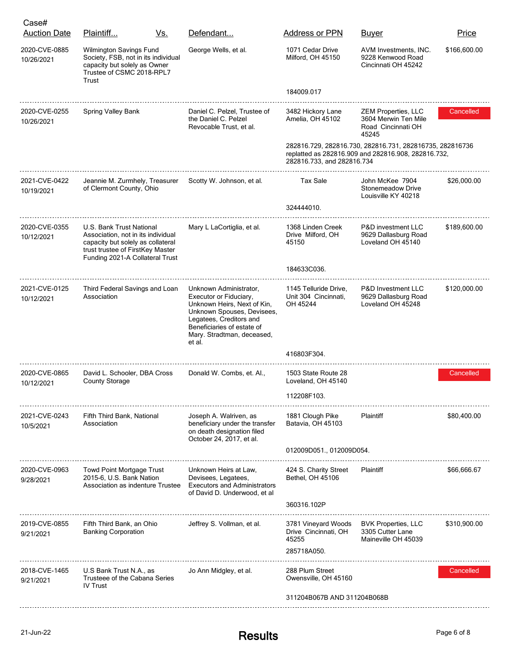| Case#<br><b>Auction Date</b> | Plaintiff<br><u>Vs.</u>                                                                                                                                                    | Defendant                                                                                                                                                                                                      | <b>Address or PPN</b>                                     | <b>Buyer</b>                                                                                                                                           | Price        |  |
|------------------------------|----------------------------------------------------------------------------------------------------------------------------------------------------------------------------|----------------------------------------------------------------------------------------------------------------------------------------------------------------------------------------------------------------|-----------------------------------------------------------|--------------------------------------------------------------------------------------------------------------------------------------------------------|--------------|--|
| 2020-CVE-0885<br>10/26/2021  | Wilmington Savings Fund<br>Society, FSB, not in its individual<br>capacity but solely as Owner<br>Trustee of CSMC 2018-RPL7<br>Trust                                       | George Wells, et al.                                                                                                                                                                                           | 1071 Cedar Drive<br>Milford, OH 45150                     | AVM Investments, INC.<br>9228 Kenwood Road<br>Cincinnati OH 45242                                                                                      | \$166,600.00 |  |
|                              |                                                                                                                                                                            |                                                                                                                                                                                                                | 184009.017                                                |                                                                                                                                                        |              |  |
| 2020-CVE-0255<br>10/26/2021  | Spring Valley Bank                                                                                                                                                         | Daniel C. Pelzel, Trustee of<br>the Daniel C. Pelzel<br>Revocable Trust, et al.                                                                                                                                | 3482 Hickory Lane<br>Amelia, OH 45102                     | <b>ZEM Properties, LLC</b><br>3604 Merwin Ten Mile<br>Road Cincinnati OH                                                                               | Cancelled    |  |
|                              |                                                                                                                                                                            |                                                                                                                                                                                                                |                                                           | 45245<br>282816.729, 282816.730, 282816.731, 282816735, 282816736<br>replatted as 282816.909 and 282816.908, 282816.732,<br>282816.733, and 282816.734 |              |  |
| 2021-CVE-0422<br>10/19/2021  | Jeannie M. Zurmhely, Treasurer<br>of Clermont County, Ohio                                                                                                                 | Scotty W. Johnson, et al.                                                                                                                                                                                      | Tax Sale                                                  | John McKee 7904<br><b>Stonemeadow Drive</b><br>Louisville KY 40218                                                                                     | \$26,000.00  |  |
|                              |                                                                                                                                                                            |                                                                                                                                                                                                                | 324444010.                                                |                                                                                                                                                        |              |  |
| 2020-CVE-0355<br>10/12/2021  | U.S. Bank Trust National<br>Association, not in its individual<br>capacity but solely as collateral<br>trust trustee of FirstKey Master<br>Funding 2021-A Collateral Trust | Mary L LaCortiglia, et al.                                                                                                                                                                                     | 1368 Linden Creek<br>Drive Milford, OH<br>45150           | <b>P&amp;D investment LLC</b><br>9629 Dallasburg Road<br>Loveland OH 45140                                                                             | \$189,600.00 |  |
|                              |                                                                                                                                                                            |                                                                                                                                                                                                                | 184633C036.                                               |                                                                                                                                                        |              |  |
| 2021-CVE-0125<br>10/12/2021  | Third Federal Savings and Loan<br>Association                                                                                                                              | Unknown Administrator,<br>Executor or Fiduciary,<br>Unknown Heirs, Next of Kin,<br>Unknown Spouses, Devisees,<br>Legatees, Creditors and<br>Beneficiaries of estate of<br>Mary. Stradtman, deceased,<br>et al. | 1145 Telluride Drive,<br>Unit 304 Cincinnati,<br>OH 45244 | <b>P&amp;D Investment LLC</b><br>9629 Dallasburg Road<br>Loveland OH 45248                                                                             | \$120,000.00 |  |
|                              |                                                                                                                                                                            |                                                                                                                                                                                                                | 416803F304.                                               |                                                                                                                                                        |              |  |
| 2020-CVE-0865<br>10/12/2021  | David L. Schooler, DBA Cross<br><b>County Storage</b>                                                                                                                      | Donald W. Combs, et. Al.,                                                                                                                                                                                      | 1503 State Route 28<br>Loveland, OH 45140                 |                                                                                                                                                        | Cancelled    |  |
|                              |                                                                                                                                                                            |                                                                                                                                                                                                                | 112208F103                                                |                                                                                                                                                        |              |  |
| 2021-CVE-0243<br>10/5/2021   | Fifth Third Bank, National<br>Association                                                                                                                                  | Joseph A. Walriven, as<br>beneficiary under the transfer<br>on death designation filed<br>October 24, 2017, et al.                                                                                             | 1881 Clough Pike<br>Batavia, OH 45103                     | Plaintiff                                                                                                                                              | \$80,400.00  |  |
|                              |                                                                                                                                                                            |                                                                                                                                                                                                                | 012009D051., 012009D054.                                  |                                                                                                                                                        |              |  |
| 2020-CVE-0963<br>9/28/2021   | <b>Towd Point Mortgage Trust</b><br>2015-6, U.S. Bank Nation<br>Association as indenture Trustee                                                                           | Unknown Heirs at Law,<br>Devisees, Legatees,<br><b>Executors and Administrators</b><br>of David D. Underwood, et al                                                                                            | 424 S. Charity Street<br>Bethel, OH 45106                 | <b>Plaintiff</b>                                                                                                                                       | \$66,666.67  |  |
|                              |                                                                                                                                                                            |                                                                                                                                                                                                                | 360316.102P                                               |                                                                                                                                                        |              |  |
| 2019-CVE-0855<br>9/21/2021   | Fifth Third Bank, an Ohio<br><b>Banking Corporation</b>                                                                                                                    | Jeffrey S. Vollman, et al.                                                                                                                                                                                     | 3781 Vineyard Woods<br>Drive Cincinnati, OH<br>45255      | <b>BVK Properties, LLC</b><br>3305 Cutter Lane<br>Maineville OH 45039                                                                                  | \$310,900.00 |  |
|                              |                                                                                                                                                                            |                                                                                                                                                                                                                | 285718A050.                                               |                                                                                                                                                        |              |  |
| 2018-CVE-1465<br>9/21/2021   | U.S Bank Trust N.A., as<br>Trusteee of the Cabana Series<br><b>IV Trust</b>                                                                                                | Jo Ann Midgley, et al.                                                                                                                                                                                         | 288 Plum Street<br>Owensville, OH 45160                   |                                                                                                                                                        | Cancelled    |  |
|                              |                                                                                                                                                                            |                                                                                                                                                                                                                | 311204B067B AND 311204B068B                               |                                                                                                                                                        |              |  |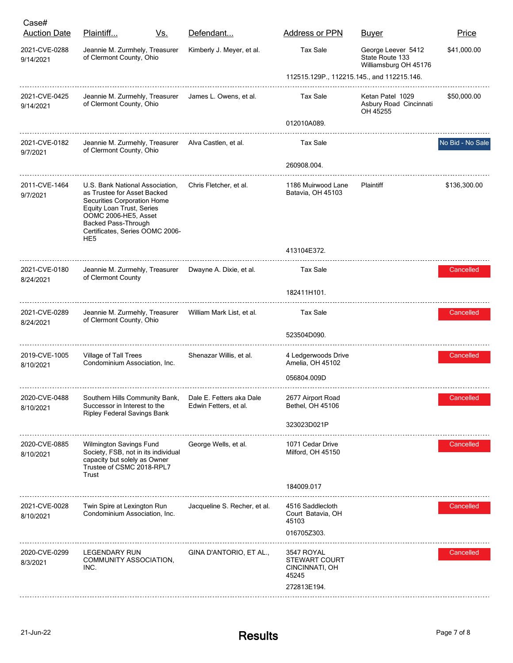| Case#<br><b>Auction Date</b> | Plaintiff                                                                                                                                                                                                                              | <u>Vs.</u> | Defendant                                         | <b>Address or PPN</b>                                         | <b>Buyer</b>                                                   | Price            |
|------------------------------|----------------------------------------------------------------------------------------------------------------------------------------------------------------------------------------------------------------------------------------|------------|---------------------------------------------------|---------------------------------------------------------------|----------------------------------------------------------------|------------------|
| 2021-CVE-0288<br>9/14/2021   | Jeannie M. Zurmhely, Treasurer<br>of Clermont County, Ohio                                                                                                                                                                             |            | Kimberly J. Meyer, et al.                         | <b>Tax Sale</b>                                               | George Leever 5412<br>State Route 133<br>Williamsburg OH 45176 | \$41,000.00      |
|                              |                                                                                                                                                                                                                                        |            |                                                   | 112515.129P., 112215.145., and 112215.146.                    |                                                                |                  |
| 2021-CVE-0425<br>9/14/2021   | Jeannie M. Zurmehly, Treasurer<br>of Clermont County, Ohio                                                                                                                                                                             |            | James L. Owens, et al.                            | <b>Tax Sale</b>                                               | Ketan Patel 1029<br>Asbury Road Cincinnati<br>OH 45255         | \$50,000.00      |
|                              |                                                                                                                                                                                                                                        |            |                                                   | 012010A089.                                                   |                                                                |                  |
| 2021-CVE-0182<br>9/7/2021    | Jeannie M. Zurmehly, Treasurer<br>of Clermont County, Ohio                                                                                                                                                                             |            | Alva Castlen, et al.                              | Tax Sale                                                      |                                                                | No Bid - No Sale |
|                              |                                                                                                                                                                                                                                        |            |                                                   | 260908.004.                                                   |                                                                |                  |
| 2011-CVE-1464<br>9/7/2021    | U.S. Bank National Association,<br>as Trustee for Asset Backed<br>Securities Corporation Home<br>Equity Loan Trust, Series<br>OOMC 2006-HE5, Asset<br><b>Backed Pass-Through</b><br>Certificates, Series OOMC 2006-<br>HE <sub>5</sub> |            | Chris Fletcher, et al.                            | 1186 Muirwood Lane<br>Batavia, OH 45103                       | <b>Plaintiff</b>                                               | \$136,300.00     |
|                              |                                                                                                                                                                                                                                        |            |                                                   | 413104E372.                                                   |                                                                |                  |
| 2021-CVE-0180<br>8/24/2021   | Jeannie M. Zurmehly, Treasurer<br>of Clermont County                                                                                                                                                                                   |            | Dwayne A. Dixie, et al.                           | Tax Sale                                                      |                                                                | Cancelled        |
|                              |                                                                                                                                                                                                                                        |            |                                                   | 182411H101.                                                   |                                                                |                  |
| 2021-CVE-0289<br>8/24/2021   | Jeannie M. Zurmehly, Treasurer<br>of Clermont County, Ohio                                                                                                                                                                             |            | William Mark List, et al.                         | Tax Sale                                                      |                                                                | Cancelled        |
|                              |                                                                                                                                                                                                                                        |            |                                                   | 523504D090.                                                   |                                                                |                  |
| 2019-CVE-1005<br>8/10/2021   | Village of Tall Trees<br>Condominium Association, Inc.                                                                                                                                                                                 |            | Shenazar Willis, et al.                           | 4 Ledgerwoods Drive<br>Amelia, OH 45102                       |                                                                | Cancelled        |
|                              |                                                                                                                                                                                                                                        |            |                                                   | 056804.009D                                                   |                                                                |                  |
| 2020-CVE-0488<br>8/10/2021   | Southern Hills Community Bank,<br>Successor in Interest to the<br><b>Ripley Federal Savings Bank</b>                                                                                                                                   |            | Dale E. Fetters aka Dale<br>Edwin Fetters, et al. | 2677 Airport Road<br>Bethel, OH 45106                         |                                                                | Cancelled        |
|                              |                                                                                                                                                                                                                                        |            |                                                   | 323023D021P                                                   |                                                                |                  |
| 2020-CVE-0885<br>8/10/2021   | <b>Wilmington Savings Fund</b><br>Society, FSB, not in its individual<br>capacity but solely as Owner<br>Trustee of CSMC 2018-RPL7<br>Trust                                                                                            |            | George Wells, et al.                              | 1071 Cedar Drive<br>Milford, OH 45150                         |                                                                | Cancelled        |
|                              |                                                                                                                                                                                                                                        |            |                                                   | 184009.017                                                    |                                                                |                  |
| 2021-CVE-0028<br>8/10/2021   | Twin Spire at Lexington Run<br>Condominium Association, Inc.                                                                                                                                                                           |            | Jacqueline S. Recher, et al.                      | 4516 Saddlecloth<br>Court Batavia, OH<br>45103<br>016705Z303. |                                                                | Cancelled        |
|                              |                                                                                                                                                                                                                                        |            |                                                   |                                                               |                                                                |                  |
| 2020-CVE-0299<br>8/3/2021    | <b>LEGENDARY RUN</b><br>COMMUNITY ASSOCIATION,<br>INC.                                                                                                                                                                                 |            | GINA D'ANTORIO, ET AL.,                           | 3547 ROYAL<br><b>STEWART COURT</b><br>CINCINNATI, OH<br>45245 |                                                                | Cancelled        |
|                              |                                                                                                                                                                                                                                        |            |                                                   | 272813E194.                                                   |                                                                |                  |
|                              |                                                                                                                                                                                                                                        |            |                                                   |                                                               |                                                                |                  |